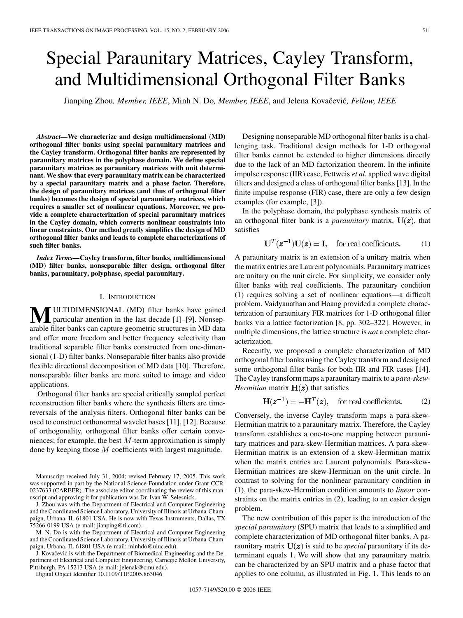# Special Paraunitary Matrices, Cayley Transform, and Multidimensional Orthogonal Filter Banks

Jianping Zhou, Member, IEEE, Minh N. Do, Member, IEEE, and Jelena Kovaĉević, Fellow, IEEE

*Abstract—***We characterize and design multidimensional (MD) orthogonal filter banks using special paraunitary matrices and the Cayley transform. Orthogonal filter banks are represented by paraunitary matrices in the polyphase domain. We define special paraunitary matrices as paraunitary matrices with unit determinant. We show that every paraunitary matrix can be characterized by a special paraunitary matrix and a phase factor. Therefore, the design of paraunitary matrices (and thus of orthogonal filter banks) becomes the design of special paraunitary matrices, which requires a smaller set of nonlinear equations. Moreover, we provide a complete characterization of special paraunitary matrices in the Cayley domain, which converts nonlinear constraints into linear constraints. Our method greatly simplifies the design of MD orthogonal filter banks and leads to complete characterizations of such filter banks.**

*Index Terms—***Cayley transform, filter banks, multidimensional (MD) filter banks, nonseparable filter design, orthogonal filter banks, paraunitary, polyphase, special paraunitary.**

## I. INTRODUCTION

**MULTIDIMENSIONAL (MD) filter banks have gained** particular attention in the last decade [[1\]](#page-7-0)–[\[9](#page-8-0)]. Nonseparable filter banks can capture geometric structures in MD data and offer more freedom and better frequency selectivity than traditional separable filter banks constructed from one-dimensional (1-D) filter banks. Nonseparable filter banks also provide flexible directional decomposition of MD data [\[10\]](#page-8-0). Therefore, nonseparable filter banks are more suited to image and video applications.

Orthogonal filter banks are special critically sampled perfect reconstruction filter banks where the synthesis filters are timereversals of the analysis filters. Orthogonal filter banks can be used to construct orthonormal wavelet bases [\[11](#page-8-0)], [\[12](#page-8-0)]. Because of orthogonality, orthogonal filter banks offer certain conveniences; for example, the best  $M$ -term approximation is simply done by keeping those  $M$  coefficients with largest magnitude.

Manuscript received July 31, 2004; revised February 17, 2005. This work was supported in part by the National Science Foundation under Grant CCR-0237633 (CAREER). The associate editor coordinating the review of this manuscript and approving it for publication was Dr. Ivan W. Selesnick.

J. Zhou was with the Department of Electrical and Computer Engineering and the Coordinated Science Laboratory, University of Illinois at Urbana-Champaign, Urbana, IL 61801 USA. He is now with Texas Instruments, Dallas, TX 75266-0199 USA (e-mail: jianping@ti.com).

M. N. Do is with the Department of Electrical and Computer Engineering and the Coordinated Science Laboratory, University of Illinois at Urbana-Champaign, Urbana, IL 61801 USA (e-mail: minhdo@uiuc.edu).

J. Kovaĉević is with the Department of Biomedical Engineering and the Department of Electrical and Computer Engineering, Carnegie Mellon University, Pittsburgh, PA 15213 USA (e-mail: jelenak@cmu.edu).

Digital Object Identifier 10.1109/TIP.2005.863046

Designing nonseparable MD orthogonal filter banks is a challenging task. Traditional design methods for 1-D orthogonal filter banks cannot be extended to higher dimensions directly due to the lack of an MD factorization theorem. In the infinite impulse response (IIR) case, Fettweis *et al.* applied wave digital filters and designed a class of orthogonal filter banks [[13\]](#page-8-0). In the finite impulse response (FIR) case, there are only a few design examples (for example, [\[3](#page-7-0)]).

In the polyphase domain, the polyphase synthesis matrix of an orthogonal filter bank is a *paraunitary* matrix,  $U(z)$ , that satisfies

$$
\mathbf{U}^T(\mathbf{z}^{-1})\mathbf{U}(\mathbf{z}) = \mathbf{I}, \quad \text{for real coefficients.} \tag{1}
$$

A paraunitary matrix is an extension of a unitary matrix when the matrix entries are Laurent polynomials. Paraunitary matrices are unitary on the unit circle. For simplicity, we consider only filter banks with real coefficients. The paraunitary condition (1) requires solving a set of nonlinear equations—a difficult problem. Vaidyanathan and Hoang provided a complete characterization of paraunitary FIR matrices for 1-D orthogonal filter banks via a lattice factorization [[8,](#page-8-0) pp. 302–322]. However, in multiple dimensions, the lattice structure is *not* a complete characterization.

Recently, we proposed a complete characterization of MD orthogonal filter banks using the Cayley transform and designed some orthogonal filter banks for both IIR and FIR cases [\[14](#page-8-0)]. The Cayley transform maps a paraunitary matrix to a *para-skew-Hermitian* matrix  $H(z)$  that satisfies

$$
\mathbf{H}(\mathbf{z}^{-1}) = -\mathbf{H}^{T}(\mathbf{z}), \quad \text{for real coefficients.} \tag{2}
$$

Conversely, the inverse Cayley transform maps a para-skew-Hermitian matrix to a paraunitary matrix. Therefore, the Cayley transform establishes a one-to-one mapping between paraunitary matrices and para-skew-Hermitian matrices. A para-skew-Hermitian matrix is an extension of a skew-Hermitian matrix when the matrix entries are Laurent polynomials. Para-skew-Hermitian matrices are skew-Hermitian on the unit circle. In contrast to solving for the nonlinear paraunitary condition in (1), the para-skew-Hermitian condition amounts to *linear* constraints on the matrix entries in (2), leading to an easier design problem.

The new contribution of this paper is the introduction of the *special paraunitary* (SPU) matrix that leads to a simplified and complete characterization of MD orthogonal filter banks. A paraunitary matrix  $U(z)$  is said to be *special* paraunitary if its determinant equals 1. We will show that any paraunitary matrix can be characterized by an SPU matrix and a phase factor that applies to one column, as illustrated in Fig. 1. This leads to an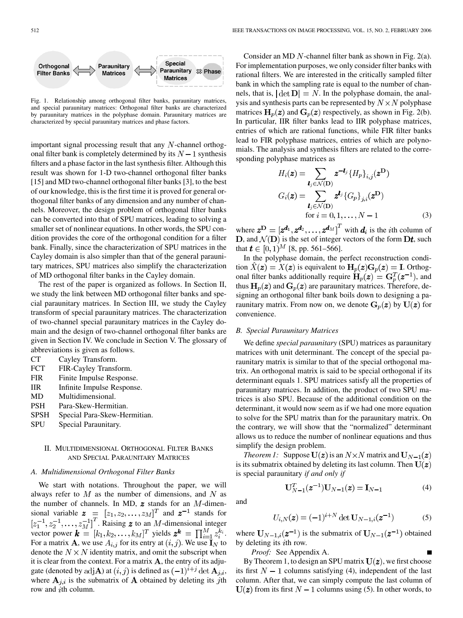

Fig. 1. Relationship among orthogonal filter banks, paraunitary matrices, and special paraunitary matrices: Orthogonal filter banks are characterized by paraunitary matrices in the polyphase domain. Paraunitary matrices are characterized by special paraunitary matrices and phase factors.

important signal processing result that any  $N$ -channel orthogonal filter bank is completely determined by its  $N-1$  synthesis filters and a phase factor in the last synthesis filter. Although this result was shown for 1-D two-channel orthogonal filter banks [[15\]](#page-8-0) and MD two-channel orthogonal filter banks [\[3](#page-7-0)], to the best of our knowledge, this is the first time it is proved for general orthogonal filter banks of any dimension and any number of channels. Moreover, the design problem of orthogonal filter banks can be converted into that of SPU matrices, leading to solving a smaller set of nonlinear equations. In other words, the SPU condition provides the core of the orthogonal condition for a filter bank. Finally, since the characterization of SPU matrices in the Cayley domain is also simpler than that of the general paraunitary matrices, SPU matrices also simplify the characterization of MD orthogonal filter banks in the Cayley domain.

The rest of the paper is organized as follows. In Section II, we study the link between MD orthogonal filter banks and special paraunitary matrices. In Section III, we study the Cayley transform of special paraunitary matrices. The characterization of two-channel special paraunitary matrices in the Cayley domain and the design of two-channel orthogonal filter banks are given in Section IV. We conclude in Section V. The glossary of abbreviations is given as follows.

- CT Cayley Transform.
- FCT FIR-Cayley Transform.
- FIR Finite Impulse Response.
- IIR Infinite Impulse Response.
- MD Multidimensional.
- PSH Para-Skew-Hermitian.
- SPSH Special Para-Skew-Hermitian.
- SPU Special Paraunitary.

## II. MULTIDIMENSIONAL ORTHOGONAL FILTER BANKS AND SPECIAL PARAUNITARY MATRICES

## *A. Multidimensional Orthogonal Filter Banks*

We start with notations. Throughout the paper, we will always refer to  $M$  as the number of dimensions, and  $N$  as the number of channels. In MD,  $\boldsymbol{z}$  stands for an  $M$ -dimensional variable  $\boldsymbol{z} = [z_1, z_2, \dots, z_M]^T$  and  $\boldsymbol{z}^{-1}$  stands for . Raising  $z$  to an  $M$ -dimensional integer vector power  $\mathbf{k} = [k_1, k_2, \dots, k_M]^T$  yields  $\mathbf{z}^{\mathbf{k}} = \prod_{i=1}^{M} z_i^{k_i}$ . For a matrix **A**, we use  $A_{i,j}$  for its entry at  $(i, j)$ . We use  $\mathbf{I}_N$  to denote the  $N \times N$  identity matrix, and omit the subscript when it is clear from the context. For a matrix  $A$ , the entry of its adjugate (denoted by adjA) at  $(i, j)$  is defined as  $(-1)^{i+j}$  det  $A_{j,i}$ , where  $A_{i,i}$  is the submatrix of A obtained by deleting its jth row and  $i$ th column.

Consider an MD  $N$ -channel filter bank as shown in Fig. 2(a). For implementation purposes, we only consider filter banks with rational filters. We are interested in the critically sampled filter bank in which the sampling rate is equal to the number of channels, that is,  $|\det D| = N$ . In the polyphase domain, the analysis and synthesis parts can be represented by  $N \times N$  polyphase matrices  $H_p(z)$  and  $G_p(z)$  respectively, as shown in Fig. 2(b). In particular, IIR filter banks lead to IIR polyphase matrices, entries of which are rational functions, while FIR filter banks lead to FIR polyphase matrices, entries of which are polynomials. The analysis and synthesis filters are related to the corresponding polyphase matrices as

$$
H_i(\mathbf{z}) = \sum_{\mathbf{l}_j \in \mathcal{N}(\mathbf{D})} \mathbf{z}^{-\mathbf{l}_j} \{ H_p \}_{i,j}(\mathbf{z}^{\mathbf{D}})
$$

$$
G_i(\mathbf{z}) = \sum_{\mathbf{l}_j \in \mathcal{N}(\mathbf{D})} \mathbf{z}^{\mathbf{l}_j} \{ G_p \}_{j,i}(\mathbf{z}^{\mathbf{D}})
$$
for  $i = 0, 1, ..., N - 1$  (3)

where  $\mathbf{z}^{\mathbf{D}} = [\mathbf{z}^{\mathbf{d}_1}, \mathbf{z}^{\mathbf{d}_2}, \dots, \mathbf{z}^{\mathbf{d}_M}]^T$  with  $\mathbf{d}_i$  is the *i*th column of D, and  $\mathcal{N}(\mathbf{D})$  is the set of integer vectors of the form  $\mathbf{D}\boldsymbol{t}$ , such that  $t \in [0, 1)^M$  [\[8](#page-8-0), pp. 561–566].

In the polyphase domain, the perfect reconstruction condition  $\ddot{X}(z) = X(z)$  is equivalent to  $H_p(z)G_p(z) = I$ . Orthogonal filter banks additionally require  $H_p(z) = G_p^T(z^{-1})$ , and thus  $H_p(z)$  and  $G_p(z)$  are paraunitary matrices. Therefore, designing an orthogonal filter bank boils down to designing a paraunitary matrix. From now on, we denote  $G_p(z)$  by  $U(z)$  for convenience.

## *B. Special Paraunitary Matrices*

We define *special paraunitary* (SPU) matrices as paraunitary matrices with unit determinant. The concept of the special paraunitary matrix is similar to that of the special orthogonal matrix. An orthogonal matrix is said to be special orthogonal if its determinant equals 1. SPU matrices satisfy all the properties of paraunitary matrices. In addition, the product of two SPU matrices is also SPU. Because of the additional condition on the determinant, it would now seem as if we had one more equation to solve for the SPU matrix than for the paraunitary matrix. On the contrary, we will show that the "normalized" determinant allows us to reduce the number of nonlinear equations and thus simplify the design problem.

*Theorem 1:* Suppose  $U(z)$  is an  $N \times N$  matrix and  $U_{N-1}(z)$ is its submatrix obtained by deleting its last column. Then  $U(z)$ is special paraunitary *if and only if*

 $U_{N-1}^T(z^{-1})U_{N-1}(z) = I_{N-1}$ 

and

$$
U_{i,N}(\mathbf{z}) = (-1)^{i+N} \det \mathbf{U}_{N-1,i}(\mathbf{z}^{-1})
$$
 (5)

(4)

where  $U_{N-1,i}(z^{-1})$  is the submatrix of  $U_{N-1}(z^{-1})$  obtained by deleting its  $i$ th row.

*Proof:* See Appendix A.

By Theorem 1, to design an SPU matrix  $U(z)$ , we first choose its first  $N-1$  columns satisfying (4), independent of the last column. After that, we can simply compute the last column of  $U(z)$  from its first  $N-1$  columns using (5). In other words, to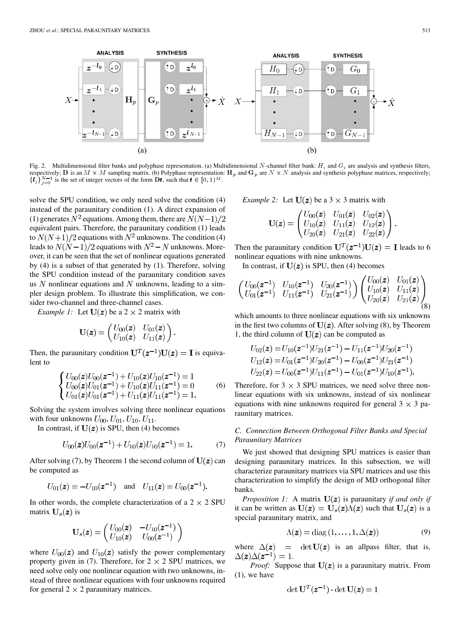

Fig. 2. Multidimensional filter banks and polyphase representation. (a) Multidimensional N-channel filter bank:  $H_i$  and  $G_i$  are analysis and synthesis filters, respectively; D is an  $M \times M$  sampling matrix. (b) Polyphase representation: H<sub>p</sub> and G<sub>p</sub> are  $N \times N$  analysis and synthesis polyphase matrices, respectively;  $\{\boldsymbol{I}_j\}_{j=0}^{N-1}$  is the set of integer vectors of the form  $\mathbf{D}\boldsymbol{t}$ , such that  $\boldsymbol{t} \in [0,1)^M$ .

solve the SPU condition, we only need solve the condition (4) instead of the paraunitary condition (1). A direct expansion of (1) generates  $N^2$  equations. Among them, there are  $N(N-1)/2$ equivalent pairs. Therefore, the paraunitary condition (1) leads to  $N(N+1)/2$  equations with  $N^2$  unknowns. The condition (4) leads to  $N(N-1)/2$  equations with  $N^2 - N$  unknowns. Moreover, it can be seen that the set of nonlinear equations generated by (4) is a subset of that generated by (1). Therefore, solving the SPU condition instead of the paraunitary condition saves us N nonlinear equations and N unknowns, leading to a simpler design problem. To illustrate this simplification, we consider two-channel and three-channel cases.

*Example 1:* Let  $U(z)$  be a 2  $\times$  2 matrix with

$$
\mathbf{U}(\boldsymbol{z}) = \begin{pmatrix} U_{00}(\boldsymbol{z}) & U_{01}(\boldsymbol{z}) \\ U_{10}(\boldsymbol{z}) & U_{11}(\boldsymbol{z}) \end{pmatrix}
$$

Then, the paraunitary condition  $U^{T}(z^{-1})U(z) = I$  is equivalent to

$$
\begin{cases}\nU_{00}(z)U_{00}(z^{-1}) + U_{10}(z)U_{10}(z^{-1}) = 1 \\
U_{00}(z)U_{01}(z^{-1}) + U_{10}(z)U_{11}(z^{-1}) = 0 \\
U_{01}(z)U_{01}(z^{-1}) + U_{11}(z)U_{11}(z^{-1}) = 1.\n\end{cases} (6)
$$

Solving the system involves solving three nonlinear equations with four unknowns  $U_{00}$ ,  $U_{01}$ ,  $U_{10}$ ,  $U_{11}$ .

In contrast, if  $U(z)$  is SPU, then (4) becomes

$$
U_{00}(\boldsymbol{z})U_{00}(\boldsymbol{z}^{-1}) + U_{10}(\boldsymbol{z})U_{10}(\boldsymbol{z}^{-1}) = 1.
$$
 (7)

After solving (7), by Theorem 1 the second column of  $U(z)$  can be computed as

$$
U_{01}(z) = -U_{10}(z^{-1})
$$
 and  $U_{11}(z) = U_{00}(z^{-1})$ .

In other words, the complete characterization of a  $2 \times 2$  SPU matrix  $\mathbf{U}_s(\boldsymbol{z})$  is

$$
\mathbf{U}_s(\boldsymbol{z}) = \begin{pmatrix} U_{00}(\boldsymbol{z}) & -U_{10}(\boldsymbol{z}^{-1}) \\ U_{10}(\boldsymbol{z}) & U_{00}(\boldsymbol{z}^{-1}) \end{pmatrix}
$$

where  $U_{00}(z)$  and  $U_{10}(z)$  satisfy the power complementary property given in (7). Therefore, for  $2 \times 2$  SPU matrices, we need solve only one nonlinear equation with two unknowns, instead of three nonlinear equations with four unknowns required for general  $2 \times 2$  paraunitary matrices.

*Example 2:* Let  $U(z)$  be a 3  $\times$  3 matrix with

$$
\mathbf{U}(\bm{z}) = \begin{pmatrix} U_{00}(\bm{z}) & U_{01}(\bm{z}) & U_{02}(\bm{z}) \\ U_{10}(\bm{z}) & U_{11}(\bm{z}) & U_{12}(\bm{z}) \\ U_{20}(\bm{z}) & U_{21}(\bm{z}) & U_{22}(\bm{z}) \end{pmatrix}.
$$

Then the paraunitary condition  $U^{T}(z^{-1})U(z) = I$  leads to 6 nonlinear equations with nine unknowns.

In contrast, if  $U(z)$  is SPU, then (4) becomes

$$
\begin{pmatrix}\nU_{00}(\mathbf{z}^{-1}) & U_{10}(\mathbf{z}^{-1}) & U_{20}(\mathbf{z}^{-1}) \\
U_{01}(\mathbf{z}^{-1}) & U_{11}(\mathbf{z}^{-1}) & U_{21}(\mathbf{z}^{-1})\n\end{pmatrix}\n\begin{pmatrix}\nU_{00}(\mathbf{z}) & U_{01}(\mathbf{z}) \\
U_{10}(\mathbf{z}) & U_{11}(\mathbf{z}) \\
U_{20}(\mathbf{z}) & U_{21}(\mathbf{z})\n\end{pmatrix}\n\begin{pmatrix}\nU_{00}(\mathbf{z}) & U_{01}(\mathbf{z}) \\
U_{10}(\mathbf{z}) & U_{11}(\mathbf{z})\n\end{pmatrix}\n\begin{pmatrix}\n0 \\
0 \\
0\n\end{pmatrix}
$$

which amounts to three nonlinear equations with six unknowns in the first two columns of  $U(z)$ . After solving (8), by Theorem 1, the third column of  $U(z)$  can be computed as

$$
U_{02}(z) = U_{10}(z^{-1})U_{21}(z^{-1}) - U_{11}(z^{-1})U_{20}(z^{-1})
$$
  
\n
$$
U_{12}(z) = U_{01}(z^{-1})U_{20}(z^{-1}) - U_{00}(z^{-1})U_{21}(z^{-1})
$$
  
\n
$$
U_{22}(z) = U_{00}(z^{-1})U_{11}(z^{-1}) - U_{01}(z^{-1})U_{10}(z^{-1}).
$$

Therefore, for  $3 \times 3$  SPU matrices, we need solve three nonlinear equations with six unknowns, instead of six nonlinear equations with nine unknowns required for general  $3 \times 3$  paraunitary matrices.

# *C. Connection Between Orthogonal Filter Banks and Special Paraunitary Matrices*

We just showed that designing SPU matrices is easier than designing paraunitary matrices. In this subsection, we will characterize paraunitary matrices via SPU matrices and use this characterization to simplify the design of MD orthogonal filter banks.

*Proposition 1:* A matrix  $U(z)$  is paraunitary *if and only if* it can be written as  $U(z) = U_s(z) \Lambda(z)$  such that  $U_s(z)$  is a special paraunitary matrix, and

$$
\Lambda(\boldsymbol{z}) = \text{diag}\left(1, \ldots, 1, \Delta(\boldsymbol{z})\right) \tag{9}
$$

where  $\Delta(z)$  =  $\det U(z)$  is an allpass filter, that is,  $\Delta(z)\Delta(z^{-1})=1.$ 

*Proof:* Suppose that  $U(z)$  is a paraunitary matrix. From  $(1)$ , we have

$$
\det \mathbf{U}^T(\mathbf{z}^{-1}) \cdot \det \mathbf{U}(\mathbf{z}) = 1
$$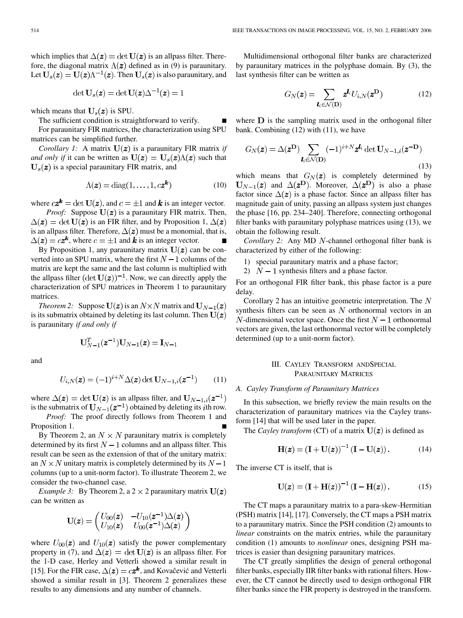which implies that  $\Delta(z) = \det U(z)$  is an allpass filter. Therefore, the diagonal matrix  $\Lambda(z)$  defined as in (9) is paraunitary. Let  $U_s(z) = U(z) \Lambda^{-1}(z)$ . Then  $U_s(z)$  is also paraunitary, and

$$
\det \mathbf{U}_s(\boldsymbol{z}) = \det \mathbf{U}(\boldsymbol{z}) \Delta^{-1}(\boldsymbol{z}) = 1
$$

which means that  $U_s(z)$  is SPU.

The sufficient condition is straightforward to verify. For paraunitary FIR matrices, the characterization using SPU matrices can be simplified further.

*Corollary 1:* A matrix  $U(z)$  is a paraunitary FIR matrix *if and only if* it can be written as  $U(z) = U_s(z) \Lambda(z)$  such that  $U_s(z)$  is a special paraunitary FIR matrix, and

$$
\Lambda(\boldsymbol{z}) = \text{diag}(1, \dots, 1, c\boldsymbol{z^k})
$$
\n(10)

where  $c\mathbf{z}^{\mathbf{k}} = \det \mathbf{U}(\mathbf{z})$ , and  $c = \pm 1$  and  $\mathbf{k}$  is an integer vector.

*Proof:* Suppose  $U(z)$  is a paraunitary FIR matrix. Then,  $\Delta(z) = \det U(z)$  is an FIR filter, and by Proposition 1,  $\Delta(z)$ is an allpass filter. Therefore,  $\Delta(z)$  must be a monomial, that is,  $\Delta(z) = c z^k$ , where  $c = \pm 1$  and  $\vec{k}$  is an integer vector.

By Proposition 1, any paraunitary matrix  $U(z)$  can be converted into an SPU matrix, where the first  $N-1$  columns of the matrix are kept the same and the last column is multiplied with the allpass filter  $(\det U(z))^{-1}$ . Now, we can directly apply the characterization of SPU matrices in Theorem 1 to paraunitary matrices.

*Theorem 2:* Suppose  $U(z)$  is an  $N \times N$  matrix and  $U_{N-1}(z)$ is its submatrix obtained by deleting its last column. Then  $U(z)$ is paraunitary *if and only if*

$$
\mathbf{U}_{N-1}^T(\boldsymbol{z}^{-1})\mathbf{U}_{N-1}(\boldsymbol{z})=\mathbf{I}_{N-1}
$$

and

$$
U_{i,N}(z) = (-1)^{i+N} \Delta(z) \det \mathbf{U}_{N-1,i}(z^{-1}) \qquad (11)
$$

where  $\Delta(z) = \det U(z)$  is an allpass filter, and  $U_{N-1,i}(z^{-1})$ is the submatrix of  $U_{N-1}(z^{-1})$  obtained by deleting its *i*th row.

*Proof:* The proof directly follows from Theorem 1 and Proposition 1.

By Theorem 2, an  $N \times N$  paraunitary matrix is completely determined by its first  $N-1$  columns and an allpass filter. This result can be seen as the extension of that of the unitary matrix: an  $N \times N$  unitary matrix is completely determined by its  $N-1$ columns (up to a unit-norm factor). To illustrate Theorem 2, we consider the two-channel case.

*Example 3:* By Theorem 2, a 2  $\times$  2 paraunitary matrix  $U(z)$ can be written as

$$
\mathbf{U}(\boldsymbol{z}) = \begin{pmatrix} U_{00}(\boldsymbol{z}) & -U_{10}(\boldsymbol{z}^{-1})\Delta(\boldsymbol{z}) \\ U_{10}(\boldsymbol{z}) & U_{00}(\boldsymbol{z}^{-1})\Delta(\boldsymbol{z}) \end{pmatrix}
$$

where  $U_{00}(z)$  and  $U_{10}(z)$  satisfy the power complementary property in (7), and  $\Delta(z) = \det U(z)$  is an allpass filter. For the 1-D case, Herley and Vetterli showed a similar result in [[15\]](#page-8-0). For the FIR case,  $\Delta(z) = cz^k$ , and Kovaĉević and Vetterli showed a similar result in [\[3](#page-7-0)]. Theorem 2 generalizes these results to any dimensions and any number of channels.

Multidimensional orthogonal filter banks are characterized by paraunitary matrices in the polyphase domain. By (3), the last synthesis filter can be written as

$$
G_N(\boldsymbol{z}) = \sum_{\boldsymbol{l}_i \in \mathcal{N}(\mathbf{D})} \boldsymbol{z}^{\boldsymbol{l}_i} U_{i,N}(\boldsymbol{z}^{\mathbf{D}})
$$
(12)

where  $\bf{D}$  is the sampling matrix used in the orthogonal filter bank. Combining (12) with (11), we have

$$
G_N(\boldsymbol{z}) = \Delta(\boldsymbol{z}^{\mathbf{D}}) \sum_{\boldsymbol{l}_i \in \mathcal{N}(\mathbf{D})} (-1)^{i+N} \boldsymbol{z}^{\boldsymbol{l}_i} \det \mathbf{U}_{N-1,i}(\boldsymbol{z}^{-\mathbf{D}})
$$
\n(13)

which means that  $G_N(z)$  is completely determined by  $U_{N-1}(z)$  and  $\Delta(z^D)$ . Moreover,  $\Delta(z^D)$  is also a phase factor since  $\Delta(z)$  is a phase factor. Since an allpass filter has magnitude gain of unity, passing an allpass system just changes the phase [\[16](#page-8-0), pp. 234–240]. Therefore, connecting orthogonal filter banks with paraunitary polyphase matrices using (13), we obtain the following result.

*Corollary 2:* Any MD *N*-channel orthogonal filter bank is characterized by either of the following:

1) special paraunitary matrix and a phase factor;

2)  $N-1$  synthesis filters and a phase factor.

For an orthogonal FIR filter bank, this phase factor is a pure delay.

Corollary 2 has an intuitive geometric interpretation. The  $N$ synthesis filters can be seen as  $N$  orthonormal vectors in an  $N$ -dimensional vector space. Once the first  $N-1$  orthonormal vectors are given, the last orthonormal vector will be completely determined (up to a unit-norm factor).

## III. CAYLEY TRANSFORM ANDSPECIAL PARAUNITARY MATRICES

#### *A. Cayley Transform of Paraunitary Matrices*

In this subsection, we briefly review the main results on the characterization of paraunitary matrices via the Cayley transform [[14\]](#page-8-0) that will be used later in the paper.

The *Cayley transform* (CT) of a matrix  $U(z)$  is defined as

$$
\mathbf{H}(\mathbf{z}) = (\mathbf{I} + \mathbf{U}(\mathbf{z}))^{-1} (\mathbf{I} - \mathbf{U}(\mathbf{z})).
$$
 (14)

The inverse CT is itself, that is

$$
U(z) = (I + H(z))^{-1} (I - H(z)).
$$
 (15)

The CT maps a paraunitary matrix to a para-skew-Hermitian (PSH) matrix [[14\]](#page-8-0), [\[17](#page-8-0)]. Conversely, the CT maps a PSH matrix to a paraunitary matrix. Since the PSH condition (2) amounts to *linear* constraints on the matrix entries, while the paraunitary condition (1) amounts to *nonlinear* ones, designing PSH matrices is easier than designing paraunitary matrices.

The CT greatly simplifies the design of general orthogonal filter banks, especially IIR filter banks with rational filters. However, the CT cannot be directly used to design orthogonal FIR filter banks since the FIR property is destroyed in the transform.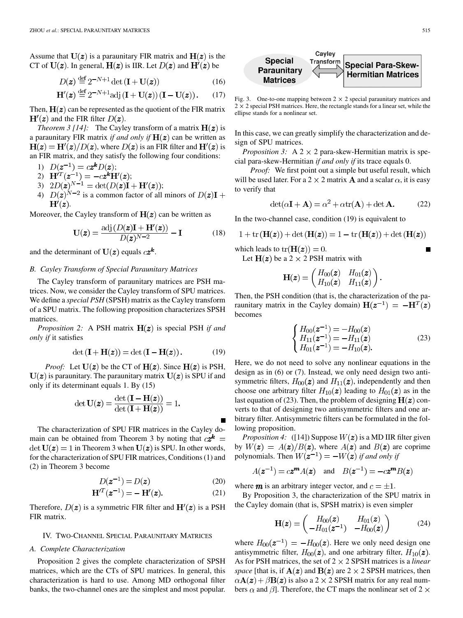Assume that  $U(z)$  is a paraunitary FIR matrix and  $H(z)$  is the CT of  $U(z)$ . In general,  $H(z)$  is IIR. Let  $D(z)$  and  $H'(z)$  be

$$
D(z) \stackrel{\text{def}}{=} 2^{-N+1} \det(\mathbf{I} + \mathbf{U}(z)) \tag{16}
$$

$$
\mathbf{H}'(\mathbf{z}) \stackrel{\text{def}}{=} 2^{-N+1} \text{adj} \left( \mathbf{I} + \mathbf{U}(\mathbf{z}) \right) \left( \mathbf{I} - \mathbf{U}(\mathbf{z}) \right). \tag{17}
$$

Then,  $H(z)$  can be represented as the quotient of the FIR matrix  $H'(z)$  and the FIR filter  $D(z)$ .

*Theorem 3 [[14\]](#page-8-0):* The Cayley transform of a matrix  $H(z)$  is a paraunitary FIR matrix *if and only if*  $H(z)$  can be written as  $H(z) = H'(z)/D(z)$ , where  $D(z)$  is an FIR filter and  $H'(z)$  is an FIR matrix, and they satisfy the following four conditions:

1)  $D(z^{-1}) = cz^{k}D(z);$ 

- 2)  $H^{i}z^{-1} = -cz^{k}H'(z);$
- 3)  $2D(\mathbf{z})^{N-1} = \det(D(\mathbf{z})\mathbf{I} + \mathbf{H}'(\mathbf{z}));$
- 4)  $D(z)^{N-2}$  is a common factor of all minors of  $D(z)I +$  $H'(z)$ .

Moreover, the Cayley transform of  $H(z)$  can be written as

$$
\mathbf{U}(\mathbf{z}) = \frac{\text{adj}\left(D(\mathbf{z})\mathbf{I} + \mathbf{H}'(\mathbf{z})\right)}{D(\mathbf{z})^{N-2}} - \mathbf{I}
$$
(18)

and the determinant of  $U(z)$  equals  $cz^k$ .

#### *B. Cayley Transform of Special Paraunitary Matrices*

The Cayley transform of paraunitary matrices are PSH matrices. Now, we consider the Cayley transform of SPU matrices. We define a *special PSH* (SPSH) matrix as the Cayley transform of a SPU matrix. The following proposition characterizes SPSH matrices.

*Proposition 2:* A PSH matrix  $H(z)$  is special PSH *if and only if* it satisfies

$$
\det(\mathbf{I} + \mathbf{H}(\mathbf{z})) = \det(\mathbf{I} - \mathbf{H}(\mathbf{z})). \tag{19}
$$

*Proof:* Let  $U(z)$  be the CT of  $H(z)$ . Since  $H(z)$  is PSH,  $U(z)$  is paraunitary. The paraunitary matrix  $U(z)$  is SPU if and only if its determinant equals 1. By (15)

$$
\det \mathbf{U}(\boldsymbol{z}) = \frac{\det \left( \mathbf{I} - \mathbf{H}(\boldsymbol{z}) \right)}{\det \left( \mathbf{I} + \mathbf{H}(\boldsymbol{z}) \right)} = 1.
$$

The characterization of SPU FIR matrices in the Cayley domain can be obtained from Theorem 3 by noting that  $c\mathbf{z}^{\mathbf{k}} =$ det  $U(z) = 1$  in Theorem 3 when  $U(z)$  is SPU. In other words, for the characterization of SPU FIR matrices, Conditions (1) and (2) in Theorem 3 become

$$
D(\boldsymbol{z}^{-1}) = D(\boldsymbol{z})\tag{20}
$$

$$
H^{T}(z^{-1}) = -H'(z).
$$
 (21)

Therefore,  $D(z)$  is a symmetric FIR filter and  $H'(z)$  is a PSH FIR matrix.

## IV. TWO-CHANNEL SPECIAL PARAUNITARY MATRICES

### *A. Complete Characterization*

Proposition 2 gives the complete characterization of SPSH matrices, which are the CTs of SPU matrices. In general, this characterization is hard to use. Among MD orthogonal filter banks, the two-channel ones are the simplest and most popular.



Fig. 3. One-to-one mapping between  $2 \times 2$  special paraunitary matrices and  $2 \times 2$  special PSH matrices. Here, the rectangle stands for a linear set, while the ellipse stands for a nonlinear set.

In this case, we can greatly simplify the characterization and design of SPU matrices.

*Proposition 3:* A  $2 \times 2$  para-skew-Hermitian matrix is special para-skew-Hermitian *if and only if* its trace equals 0.

*Proof:* We first point out a simple but useful result, which will be used later. For a 2  $\times$  2 matrix **A** and a scalar  $\alpha$ , it is easy to verify that

$$
\det(\alpha \mathbf{I} + \mathbf{A}) = \alpha^2 + \alpha \text{tr}(\mathbf{A}) + \det \mathbf{A}.
$$
 (22)

In the two-channel case, condition (19) is equivalent to

1 + tr  $(H(z))$  + det  $(H(z))$  = 1 - tr  $(H(z))$  + det  $(H(z))$ 

which leads to  $tr(\mathbf{H}(\mathbf{z})) = 0$ .

Let  $H(z)$  be a 2  $\times$  2 PSH matrix with

$$
\mathbf{H}(\boldsymbol{z}) = \begin{pmatrix} H_{00}(\boldsymbol{z}) & H_{01}(\boldsymbol{z}) \\ H_{10}(\boldsymbol{z}) & H_{11}(\boldsymbol{z}) \end{pmatrix}.
$$

Then, the PSH condition (that is, the characterization of the paraunitary matrix in the Cayley domain)  $H(z^{-1}) = -H<sup>T</sup>(z)$ becomes

$$
\begin{cases}\nH_{00}(z^{-1}) = -H_{00}(z) \\
H_{11}(z^{-1}) = -H_{11}(z) \\
H_{01}(z^{-1}) = -H_{10}(z).\n\end{cases}
$$
\n(23)

Here, we do not need to solve any nonlinear equations in the design as in (6) or (7). Instead, we only need design two antisymmetric filters,  $H_{00}(z)$  and  $H_{11}(z)$ , independently and then choose one arbitrary filter  $H_{10}(z)$  leading to  $H_{01}(z)$  as in the last equation of (23). Then, the problem of designing  $H(z)$  converts to that of designing two antisymmetric filters and one arbitrary filter. Antisymmetric filters can be formulated in the following proposition.

*Proposition 4:* ([[14\]](#page-8-0)) Suppose  $W(z)$  is a MD IIR filter given by  $W(z) = A(z)/B(z)$ , where  $A(z)$  and  $B(z)$  are coprime polynomials. Then  $W(z^{-1}) = -W(z)$  if and only if

$$
A(z^{-1}) = cz^m A(z)
$$
 and  $B(z^{-1}) = -cz^m B(z)$ 

where  $m$  is an arbitrary integer vector, and  $c = \pm 1$ .

By Proposition 3, the characterization of the SPU matrix in the Cayley domain (that is, SPSH matrix) is even simpler

$$
\mathbf{H}(\mathbf{z}) = \begin{pmatrix} H_{00}(\mathbf{z}) & H_{01}(\mathbf{z}) \\ -H_{01}(\mathbf{z}^{-1}) & -H_{00}(\mathbf{z}) \end{pmatrix}
$$
(24)

where  $H_{00}(z^{-1}) = -H_{00}(z)$ . Here we only need design one antisymmetric filter,  $H_{00}(z)$ , and one arbitrary filter,  $H_{10}(z)$ . As for PSH matrices, the set of 2 2 SPSH matrices is a *linear space* [that is, if  $A(z)$  and  $B(z)$  are 2  $\times$  2 SPSH matrices, then  $\alpha \mathbf{A}(\boldsymbol{z}) + \beta \mathbf{B}(\boldsymbol{z})$  is also a 2  $\times$  2 SPSH matrix for any real numbers  $\alpha$  and  $\beta$ ]. Therefore, the CT maps the nonlinear set of 2  $\times$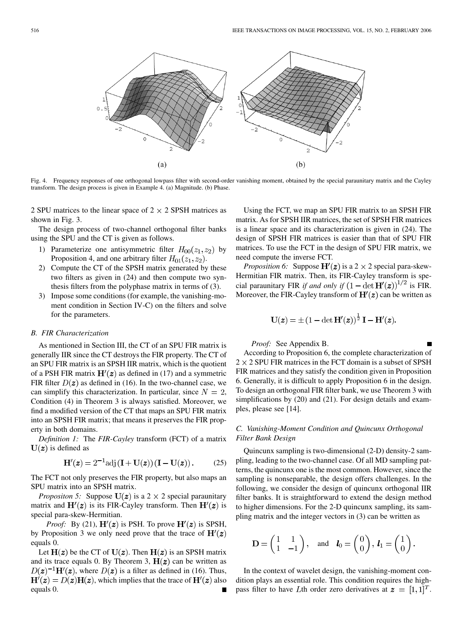

Fig. 4. Frequency responses of one orthogonal lowpass filter with second-order vanishing moment, obtained by the special paraunitary matrix and the Cayley transform. The design process is given in Example 4. (a) Magnitude. (b) Phase.

2 SPU matrices to the linear space of  $2 \times 2$  SPSH matrices as shown in Fig. 3.

The design process of two-channel orthogonal filter banks using the SPU and the CT is given as follows.

- 1) Parameterize one antisymmetric filter  $H_{00}(z_1, z_2)$  by Proposition 4, and one arbitrary filter  $H_{01}(z_1, z_2)$ .
- 2) Compute the CT of the SPSH matrix generated by these two filters as given in (24) and then compute two synthesis filters from the polyphase matrix in terms of (3).
- 3) Impose some conditions (for example, the vanishing-moment condition in Section IV-C) on the filters and solve for the parameters.

#### *B. FIR Characterization*

As mentioned in Section III, the CT of an SPU FIR matrix is generally IIR since the CT destroys the FIR property. The CT of an SPU FIR matrix is an SPSH IIR matrix, which is the quotient of a PSH FIR matrix  $H'(z)$  as defined in (17) and a symmetric FIR filter  $D(z)$  as defined in (16). In the two-channel case, we can simplify this characterization. In particular, since  $N = 2$ , Condition (4) in Theorem 3 is always satisfied. Moreover, we find a modified version of the CT that maps an SPU FIR matrix into an SPSH FIR matrix; that means it preserves the FIR property in both domains.

*Definition 1:* The *FIR-Cayley* transform (FCT) of a matrix  $U(z)$  is defined as

$$
\mathbf{H}'(\mathbf{z}) = 2^{-1} \text{adj} \left( \mathbf{I} + \mathbf{U}(\mathbf{z}) \right) \left( \mathbf{I} - \mathbf{U}(\mathbf{z}) \right). \tag{25}
$$

The FCT not only preserves the FIR property, but also maps an SPU matrix into an SPSH matrix.

*Propositon 5:* Suppose  $U(z)$  is a 2  $\times$  2 special paraunitary matrix and  $H'(z)$  is its FIR-Cayley transform. Then  $H'(z)$  is special para-skew-Hermitian.

*Proof:* By (21),  $\mathbf{H}'(\mathbf{z})$  is PSH. To prove  $\mathbf{H}'(\mathbf{z})$  is SPSH, by Proposition 3 we only need prove that the trace of  $H'(z)$ equals 0.

Let  $H(z)$  be the CT of  $U(z)$ . Then  $H(z)$  is an SPSH matrix and its trace equals 0. By Theorem 3,  $H(z)$  can be written as  $D(z)^{-1}H'(z)$ , where  $D(z)$  is a filter as defined in (16). Thus,  $H'(z) = D(z)H(z)$ , which implies that the trace of  $H'(z)$  also equals 0.

Using the FCT, we map an SPU FIR matrix to an SPSH FIR matrix. As for SPSH IIR matrices, the set of SPSH FIR matrices is a linear space and its characterization is given in (24). The design of SPSH FIR matrices is easier than that of SPU FIR matrices. To use the FCT in the design of SPU FIR matrix, we need compute the inverse FCT.

*Proposition 6:* Suppose  $\mathbf{H}'(z)$  is a 2  $\times$  2 special para-skew-Hermitian FIR matrix. Then, its FIR-Cayley transform is special paraunitary FIR *if and only if*  $(1 - \det H'(z))^{1/2}$  is FIR. Moreover, the FIR-Cayley transform of  $H'(z)$  can be written as

$$
\mathbf{U}(\boldsymbol{z}) = \pm (1 - \det \mathbf{H}'(\boldsymbol{z}))^{\frac{1}{2}} \mathbf{I} - \mathbf{H}'(\boldsymbol{z}).
$$

*Proof:* See Appendix B.

According to Proposition 6, the complete characterization of  $2 \times 2$  SPU FIR matrices in the FCT domain is a subset of SPSH FIR matrices and they satisfy the condition given in Proposition 6. Generally, it is difficult to apply Proposition 6 in the design. To design an orthogonal FIR filter bank, we use Theorem 3 with simplifications by (20) and (21). For design details and examples, please see [[14\]](#page-8-0).

# *C. Vanishing-Moment Condition and Quincunx Orthogonal Filter Bank Design*

Quincunx sampling is two-dimensional (2-D) density-2 sampling, leading to the two-channel case. Of all MD sampling patterns, the quincunx one is the most common. However, since the sampling is nonseparable, the design offers challenges. In the following, we consider the design of quincunx orthogonal IIR filter banks. It is straightforward to extend the design method to higher dimensions. For the 2-D quincunx sampling, its sampling matrix and the integer vectors in (3) can be written as

$$
\mathbf{D} = \begin{pmatrix} 1 & 1 \\ 1 & -1 \end{pmatrix}, \text{ and } \mathbf{l}_0 = \begin{pmatrix} 0 \\ 0 \end{pmatrix}, \mathbf{l}_1 = \begin{pmatrix} 1 \\ 0 \end{pmatrix}.
$$

In the context of wavelet design, the vanishing-moment condition plays an essential role. This condition requires the highpass filter to have Lth order zero derivatives at  $\mathbf{z} = [1, 1]^T$ .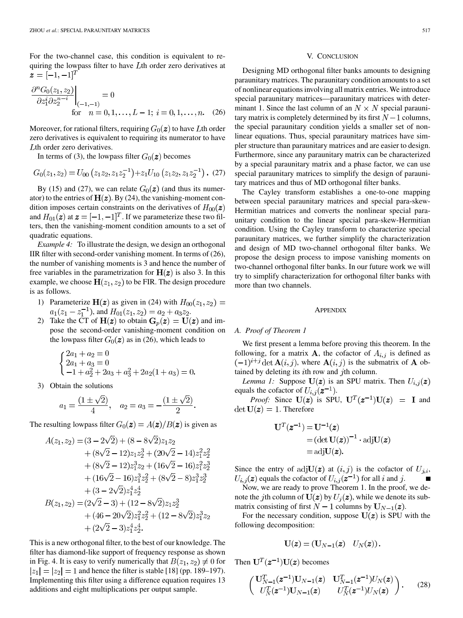For the two-channel case, this condition is equivalent to requiring the lowpass filter to have  $L$ th order zero derivatives at  $z = [-1, -1]^T$ 

$$
\frac{\partial^n G_0(z_1, z_2)}{\partial z_1^i \partial z_2^{n-i}}\Big|_{(-1,-1)} = 0
$$
\nfor  $n = 0, 1, ..., L - 1; i = 0, 1, ..., n.$  (26)

Moreover, for rational filters, requiring  $G_0(z)$  to have Lth order zero derivatives is equivalent to requiring its numerator to have Lth order zero derivatives.

In terms of (3), the lowpass filter  $G_0(z)$  becomes

$$
G_0(z_1, z_2) = U_{00} (z_1 z_2, z_1 z_2^{-1}) + z_1 U_{10} (z_1 z_2, z_1 z_2^{-1})
$$
. (27)

By (15) and (27), we can relate  $G_0(z)$  (and thus its numerator) to the entries of  $H(z)$ . By (24), the vanishing-moment condition imposes certain constraints on the derivatives of  $H_{00}(z)$ and  $H_{01}(z)$  at  $z = [-1, -1]^T$ . If we parameterize these two filters, then the vanishing-moment condition amounts to a set of quadratic equations.

*Example 4:* To illustrate the design, we design an orthogonal IIR filter with second-order vanishing moment. In terms of (26), the number of vanishing moments is 3 and hence the number of free variables in the parametrization for  $H(z)$  is also 3. In this example, we choose  $H(z_1, z_2)$  to be FIR. The design procedure is as follows.

- 1) Parameterize  $H(z)$  as given in (24) with  $H_{00}(z_1, z_2) =$  $a_1(z_1 - z_1^{-1})$ , and  $H_{01}(z_1, z_2) = a_2 + a_3 z_2$ .
- 2) Take the CT of  $H(z)$  to obtain  $G_p(z) = U(z)$  and impose the second-order vanishing-moment condition on the lowpass filter  $G_0(z)$  as in (26), which leads to

$$
\begin{cases} 2a_1 + a_2 = 0 \\ 2a_1 + a_3 = 0 \\ -1 + a_2^2 + 2a_3 + a_3^2 + 2a_2(1 + a_3) = 0. \end{cases}
$$

3) Obtain the solutions

$$
a_1 = \frac{(1 \pm \sqrt{2})}{4}
$$
,  $a_2 = a_3 = -\frac{(1 \pm \sqrt{2})}{2}$ .

The resulting lowpass filter  $G_0(z) = A(z)/B(z)$  is given as

$$
\begin{aligned} A(z_1,z_2) = (3-2\sqrt{2}) + (8-8\sqrt{2})z_1z_2 \\ &+ (8\sqrt{2}-12)z_1z_2^3 + (20\sqrt{2}-14)z_1^2z_2^2 \\ &+ (8\sqrt{2}-12)z_1^3z_2 + (16\sqrt{2}-16)z_1^2z_2^3 \\ &+ (16\sqrt{2}-16)z_1^3z_2^2 + (8\sqrt{2}-8)z_1^3z_2^3 \\ &+ (3-2\sqrt{2})z_1^4z_2^4 \\ B(z_1,z_2) = (2\sqrt{2}-3) + (12-8\sqrt{2})z_1z_2^3 \\ &+ (46-20\sqrt{2})z_1^2z_2^2 + (12-8\sqrt{2})z_1^3z_2 \\ &+ (2\sqrt{2}-3)z_1^4z_2^4. \end{aligned}
$$

This is a new orthogonal filter, to the best of our knowledge. The filter has diamond-like support of frequency response as shown in Fig. 4. It is easy to verify numerically that  $B(z_1, z_2) \neq 0$  for  $|z_1| = |z_2| = 1$  and hence the filter is stable [\[18](#page-8-0)] (pp. 189–197). Implementing this filter using a difference equation requires 13 additions and eight multiplications per output sample.

## V. CONCLUSION

Designing MD orthogonal filter banks amounts to designing paraunitary matrices. The paraunitary condition amounts to a set of nonlinear equations involving all matrix entries. We introduce special paraunitary matrices—paraunitary matrices with determinant 1. Since the last column of an  $N \times N$  special paraunitary matrix is completely determined by its first  $N-1$  columns, the special paraunitary condition yields a smaller set of nonlinear equations. Thus, special paraunitary matrices have simpler structure than paraunitary matrices and are easier to design. Furthermore, since any paraunitary matrix can be characterized by a special paraunitary matrix and a phase factor, we can use special paraunitary matrices to simplify the design of paraunitary matrices and thus of MD orthogonal filter banks.

The Cayley transform establishes a one-to-one mapping between special paraunitary matrices and special para-skew-Hermitian matrices and converts the nonlinear special paraunitary condition to the linear special para-skew-Hermitian condition. Using the Cayley transform to characterize special paraunitary matrices, we further simplify the characterization and design of MD two-channel orthogonal filter banks. We propose the design process to impose vanishing moments on two-channel orthogonal filter banks. In our future work we will try to simplify characterization for orthogonal filter banks with more than two channels.

#### **APPENDIX**

## *A. Proof of Theorem 1*

We first present a lemma before proving this theorem. In the following, for a matrix **A**, the cofactor of  $A_{i,j}$  is defined as  $(-1)^{i+j}$  det  $\mathbf{A}(i, j)$ , where  $\mathbf{A}(i, j)$  is the submatrix of A obtained by deleting its  $i$ th row and  $j$ th column.

*Lemma 1:* Suppose  $U(z)$  is an SPU matrix. Then  $U_{i,j}(z)$ equals the cofactor of  $U_{i,j}(z^{-1})$ .

*Proof:* Since  $U(z)$  is SPU,  $U^{T}(z^{-1})U(z) = I$  and  $\det U(z) = 1$ . Therefore

$$
\mathbf{U}^T(z^{-1}) = \mathbf{U}^{-1}(z)
$$
  
=  $(\det \mathbf{U}(z))^{-1} \cdot \text{adj}\mathbf{U}(z)$   
=  $\text{adj}\mathbf{U}(z)$ .

Since the entry of adjU(z) at  $(i, j)$  is the cofactor of  $U_{j,i}$ , equals the cofactor of  $U_{i,j}(z^{-1})$  for all i and j.

Now, we are ready to prove Theorem 1. In the proof, we denote the jth column of  $U(z)$  by  $U_i(z)$ , while we denote its submatrix consisting of first  $N-1$  columns by  $U_{N-1}(z)$ .

For the necessary condition, suppose  $U(z)$  is SPU with the following decomposition:

$$
\mathbf{U}(\boldsymbol{z}) = (\mathbf{U}_{N-1}(\boldsymbol{z}) \quad U_N(\boldsymbol{z})).
$$

Then  $\mathbf{U}^T(z^{-1})\mathbf{U}(z)$  becomes

$$
\begin{pmatrix} \mathbf{U}_{N-1}^T(z^{-1})\mathbf{U}_{N-1}(z) & \mathbf{U}_{N-1}^T(z^{-1})U_N(z) \\ U_N^T(z^{-1})\mathbf{U}_{N-1}(z) & U_N^T(z^{-1})U_N(z) \end{pmatrix}.
$$
 (28)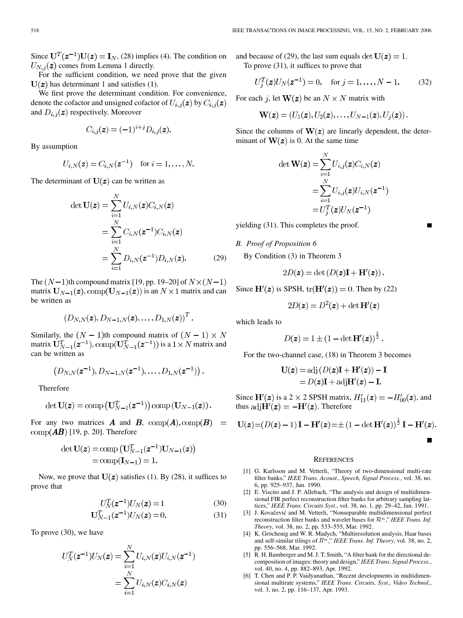<span id="page-7-0"></span>Since  $U^T(z^{-1})U(z) = I_N$ , (28) implies (4). The condition on  $U_{N,i}(z)$  comes from Lemma 1 directly.

For the sufficient condition, we need prove that the given  $U(z)$  has determinant 1 and satisfies (1).

We first prove the determinant condition. For convenience, denote the cofactor and unsigned cofactor of  $U_{i,j}(\mathbf{z})$  by  $C_{i,j}(\mathbf{z})$ and  $D_{i,j}(z)$  respectively. Moreover

$$
C_{i,j}(\mathbf{z}) = (-1)^{i+j} D_{i,j}(\mathbf{z}).
$$

By assumption

$$
U_{i,N}(\mathbf{z}) = C_{i,N}(\mathbf{z}^{-1})
$$
 for  $i = 1, ..., N$ .

The determinant of  $U(z)$  can be written as

$$
\det \mathbf{U}(\boldsymbol{z}) = \sum_{i=1}^{N} U_{i,N}(\boldsymbol{z}) C_{i,N}(\boldsymbol{z})
$$

$$
= \sum_{i=1}^{N} C_{i,N}(\boldsymbol{z}^{-1}) C_{i,N}(\boldsymbol{z})
$$

$$
= \sum_{i=1}^{N} D_{i,N}(\boldsymbol{z}^{-1}) D_{i,N}(\boldsymbol{z}). \tag{29}
$$

The  $(N-1)$ th compound matrix [[19,](#page-8-0) pp. 19–20] of  $N \times (N-1)$ matrix  $\mathbf{U}_{N-1}(\boldsymbol{z})$ ,  $\text{comp}(\mathbf{U}_{N-1}(\boldsymbol{z}))$  is an  $N \times 1$  matrix and can be written as

$$
(D_{N,N}(\boldsymbol{z}), D_{N-1,N}(\boldsymbol{z}), \ldots, D_{1,N}(\boldsymbol{z}))^T.
$$

Similarly, the  $(N - 1)$ th compound matrix of  $(N - 1) \times N$ matrix  $\mathbf{U}_{N-1}^T(\mathbf{z}^{-1}), \text{comp}(\mathbf{U}_{N-1}^T(\mathbf{z}^{-1}))$  is a  $1 \times N$  matrix and can be written as

$$
(D_{N,N}(\boldsymbol{z}^{-1}), D_{N-1,N}(\boldsymbol{z}^{-1}), \ldots, D_{1,N}(\boldsymbol{z}^{-1}))
$$

Therefore

$$
\det \mathbf{U}(\boldsymbol{z}) = \operatorname{comp}\left(\mathbf{U}_{N-1}^T(\boldsymbol{z}^{-1})\right) \operatorname{comp}\left(\mathbf{U}_{N-1}(\boldsymbol{z})\right).
$$

For any two matrices **A** and **B**,  $comp(A), comp(B) =$  $\text{comp}(\boldsymbol{A}\boldsymbol{B})$  [\[19](#page-8-0), p. 20]. Therefore

$$
\begin{aligned} \det \mathbf{U}(\boldsymbol{z}) =& \operatorname{comp}\left(\mathbf{U}_{N-1}^T(\boldsymbol{z}^{-1})\mathbf{U}_{N-1}(\boldsymbol{z})\right) \\ = & \operatorname{comp}(\mathbf{I}_{N-1}) = 1. \end{aligned}
$$

Now, we prove that  $U(z)$  satisfies (1). By (28), it suffices to prove that

$$
U_N^T(\mathbf{z}^{-1})U_N(\mathbf{z}) = 1\tag{30}
$$

$$
\mathbf{U}_{N-1}^{T}(z^{-1})U_{N}(z) = 0.
$$
 (31)

To prove (30), we have

$$
U_N^T(\boldsymbol{z}^{-1})U_N(\boldsymbol{z}) = \sum_{i=1}^N U_{i,N}(\boldsymbol{z})U_{i,N}(\boldsymbol{z}^{-1}) \\ = \sum_{i=1}^N U_{i,N}(\boldsymbol{z})C_{i,N}(\boldsymbol{z})
$$

 $\sim$ 

and because of (29), the last sum equals  $\det U(z) = 1$ . To prove (31), it suffices to prove that

$$
U_j^T(\mathbf{z})U_N(\mathbf{z}^{-1}) = 0, \quad \text{for } j = 1, \dots, N - 1.
$$
 (32)

For each j, let  $W(z)$  be an  $N \times N$  matrix with

$$
\mathbf{W}(\boldsymbol{z})=(U_1(\boldsymbol{z}),U_2(\boldsymbol{z}),\ldots,U_{N-1}(\boldsymbol{z}),U_j(\boldsymbol{z}))\,.
$$

Since the columns of  $W(z)$  are linearly dependent, the determinant of  $W(z)$  is 0. At the same time

$$
\det \mathbf{W}(\mathbf{z}) = \sum_{i=1}^{N} U_{i,j}(\mathbf{z}) C_{i,N}(\mathbf{z})
$$

$$
= \sum_{i=1}^{N} U_{i,j}(\mathbf{z}) U_{i,N}(\mathbf{z}^{-1})
$$

$$
= U_j^T(\mathbf{z}) U_N(\mathbf{z}^{-1})
$$

yielding (31). This completes the proof.

*B. Proof of Proposition 6*

By Condition (3) in Theorem 3

$$
2D(\mathbf{z}) = \det(D(\mathbf{z})\mathbf{I} + \mathbf{H}'(\mathbf{z})).
$$

Since  $\mathbf{H}'(z)$  is SPSH,  $tr(\mathbf{H}'(z)) = 0$ . Then by (22)

$$
2D(z) = D^2(z) + \det \mathbf{H}'(z)
$$

which leads to

$$
D(\boldsymbol{z}) = 1 \pm (1 - \det \mathbf{H}'(\boldsymbol{z}))^{\frac{1}{2}}
$$

For the two-channel case, (18) in Theorem 3 becomes

$$
\mathbf{U}(\mathbf{z}) = \text{adj}\left(D(\mathbf{z})\mathbf{I} + \mathbf{H}'(\mathbf{z})\right) - \mathbf{I}
$$

$$
= D(\mathbf{z})\mathbf{I} + \text{adj}\mathbf{H}'(\mathbf{z}) - \mathbf{I}.
$$

Since  $\mathbf{H}'(\mathbf{z})$  is a 2  $\times$  2 SPSH matrix,  $H'_{11}(\mathbf{z}) = -H'_{00}(\mathbf{z})$ , and thus  $\text{adj}\mathbf{H}'(z) = -\mathbf{H}'(z)$ . Therefore

$$
\mathbf{U}(\boldsymbol{z}) = (D(\boldsymbol{z}) - 1)\,\mathbf{I} - \mathbf{H}'(\boldsymbol{z}) = \pm (1 - \det \mathbf{H}'(\boldsymbol{z}))^{\frac{1}{2}}\,\mathbf{I} - \mathbf{H}'(\boldsymbol{z}).
$$

#### **REFERENCES**

- [1] G. Karlsson and M. Vetterli, "Theory of two-dimensional multi-rate filter banks," *IEEE Trans. Acoust., Speech, Signal Process.*, vol. 38, no. 6, pp. 925–937, Jun. 1990.
- [2] E. Viscito and J. P. Allebach, "The analysis and design of multidimensional FIR perfect reconstruction filter banks for arbitrary sampling lattices," *IEEE Trans. Circuits Syst.*, vol. 38, no. 1, pp. 29–42, Jan. 1991.
- [3] J. Kovaĉević and M. Vetterli, "Nonseparable multidimensional perfect reconstruction filter banks and wavelet bases for  $\mathcal{R}^n$ ," *IEEE Trans. Inf. Theory*, vol. 38, no. 2, pp. 533–555, Mar. 1992.
- [4] K. Gröchenig and W. R. Madych, "Multiresolution analysis, Haar bases and self-similar tilings of  $R<sup>n</sup>$ ," IEEE Trans. Inf. Theory, vol. 38, no. 2, pp. 556–568, Mar. 1992.
- [5] R. H. Bamberger and M. J. T. Smith, "A filter bank for the directional decomposition of images: theory and design," *IEEE Trans. Signal Process.*, vol. 40, no. 4, pp. 882–893, Apr. 1992.
- [6] T. Chen and P. P. Vaidyanathan, "Recent developments in multidimensional multirate systems," *IEEE Trans. Circuits, Syst., Video Technol.*, vol. 3, no. 2, pp. 116–137, Apr. 1993.